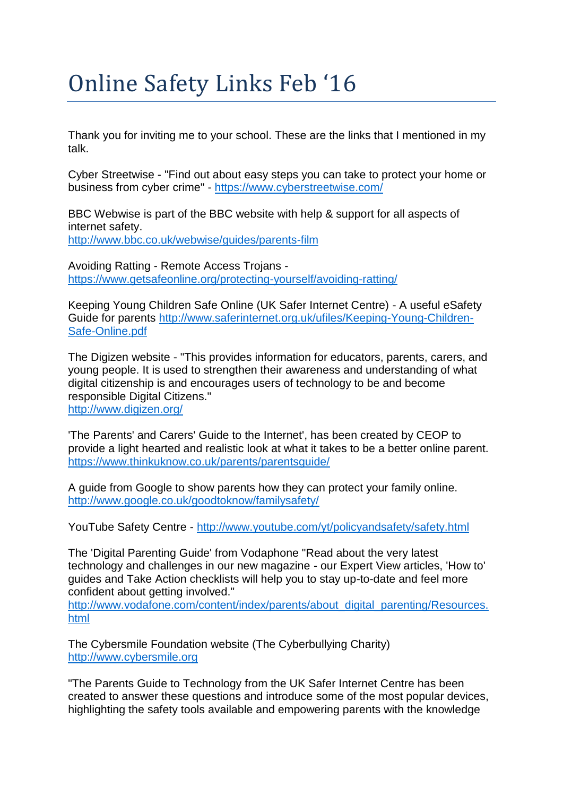## Online Safety Links Feb '16

Thank you for inviting me to your school. These are the links that I mentioned in my talk.

Cyber Streetwise - "Find out about easy steps you can take to protect your home or business from cyber crime" - <https://www.cyberstreetwise.com/>

BBC Webwise is part of the BBC website with help & support for all aspects of internet safety.

<http://www.bbc.co.uk/webwise/guides/parents-film>

Avoiding Ratting - Remote Access Trojans <https://www.getsafeonline.org/protecting-yourself/avoiding-ratting/>

Keeping Young Children Safe Online (UK Safer Internet Centre) - A useful eSafety Guide for parents [http://www.saferinternet.org.uk/ufiles/Keeping-Young-Children-](http://www.saferinternet.org.uk/ufiles/Keeping-Young-Children-Safe-Online.pdf)[Safe-Online.pdf](http://www.saferinternet.org.uk/ufiles/Keeping-Young-Children-Safe-Online.pdf)

The Digizen website - "This provides information for educators, parents, carers, and young people. It is used to strengthen their awareness and understanding of what digital citizenship is and encourages users of technology to be and become responsible Digital Citizens." <http://www.digizen.org/>

'The Parents' and Carers' Guide to the Internet', has been created by CEOP to provide a light hearted and realistic look at what it takes to be a better online parent. <https://www.thinkuknow.co.uk/parents/parentsguide/>

A guide from Google to show parents how they can protect your family online. <http://www.google.co.uk/goodtoknow/familysafety/>

YouTube Safety Centre - <http://www.youtube.com/yt/policyandsafety/safety.html>

The 'Digital Parenting Guide' from Vodaphone "Read about the very latest technology and challenges in our new magazine - our Expert View articles, 'How to' guides and Take Action checklists will help you to stay up-to-date and feel more confident about getting involved."

[http://www.vodafone.com/content/index/parents/about\\_digital\\_parenting/Resources.](http://www.vodafone.com/content/index/parents/about_digital_parenting/Resources.html) [html](http://www.vodafone.com/content/index/parents/about_digital_parenting/Resources.html)

The Cybersmile Foundation website (The Cyberbullying Charity) [http://www.cybersmile.org](http://www.cybersmile.org/)

"The Parents Guide to Technology from the UK Safer Internet Centre has been created to answer these questions and introduce some of the most popular devices, highlighting the safety tools available and empowering parents with the knowledge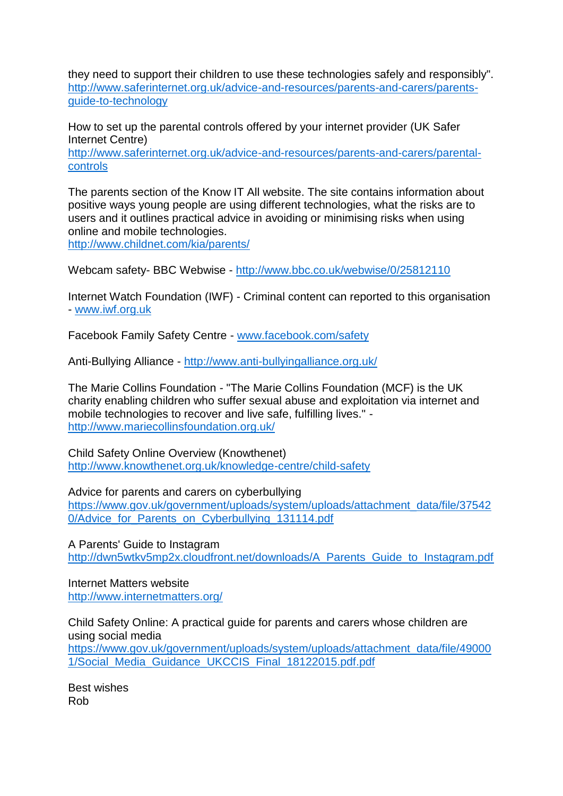they need to support their children to use these technologies safely and responsibly". [http://www.saferinternet.org.uk/advice-and-resources/parents-and-carers/parents](http://www.saferinternet.org.uk/advice-and-resources/parents-and-carers/parents-guide-to-technology)[guide-to-technology](http://www.saferinternet.org.uk/advice-and-resources/parents-and-carers/parents-guide-to-technology)

How to set up the parental controls offered by your internet provider (UK Safer Internet Centre)

[http://www.saferinternet.org.uk/advice-and-resources/parents-and-carers/parental](http://www.saferinternet.org.uk/advice-and-resources/parents-and-carers/parental-controls)[controls](http://www.saferinternet.org.uk/advice-and-resources/parents-and-carers/parental-controls)

The parents section of the Know IT All website. The site contains information about positive ways young people are using different technologies, what the risks are to users and it outlines practical advice in avoiding or minimising risks when using online and mobile technologies.

<http://www.childnet.com/kia/parents/>

Webcam safety- BBC Webwise - <http://www.bbc.co.uk/webwise/0/25812110>

Internet Watch Foundation (IWF) - Criminal content can reported to this organisation - [www.iwf.org.uk](http://www.iwf.org.uk/)

Facebook Family Safety Centre - [www.facebook.com/safety](http://www.facebook.com/safety)

Anti-Bullying Alliance - <http://www.anti-bullyingalliance.org.uk/>

The Marie Collins Foundation - "The Marie Collins Foundation (MCF) is the UK charity enabling children who suffer sexual abuse and exploitation via internet and mobile technologies to recover and live safe, fulfilling lives." <http://www.mariecollinsfoundation.org.uk/>

Child Safety Online Overview (Knowthenet) <http://www.knowthenet.org.uk/knowledge-centre/child-safety>

Advice for parents and carers on cyberbullying

[https://www.gov.uk/government/uploads/system/uploads/attachment\\_data/file/37542](https://www.gov.uk/government/uploads/system/uploads/attachment_data/file/375420/Advice_for_Parents_on_Cyberbullying_131114.pdf) [0/Advice\\_for\\_Parents\\_on\\_Cyberbullying\\_131114.pdf](https://www.gov.uk/government/uploads/system/uploads/attachment_data/file/375420/Advice_for_Parents_on_Cyberbullying_131114.pdf)

A Parents' Guide to Instagram [http://dwn5wtkv5mp2x.cloudfront.net/downloads/A\\_Parents\\_Guide\\_to\\_Instagram.pdf](http://dwn5wtkv5mp2x.cloudfront.net/downloads/A_Parents_Guide_to_Instagram.pdf)

Internet Matters website <http://www.internetmatters.org/>

Child Safety Online: A practical guide for parents and carers whose children are using social media

[https://www.gov.uk/government/uploads/system/uploads/attachment\\_data/file/49000](https://www.gov.uk/government/uploads/system/uploads/attachment_data/file/490001/Social_Media_Guidance_UKCCIS_Final_18122015.pdf.pdf) 1/Social Media Guidance UKCCIS Final 18122015.pdf.pdf

Best wishes Rob